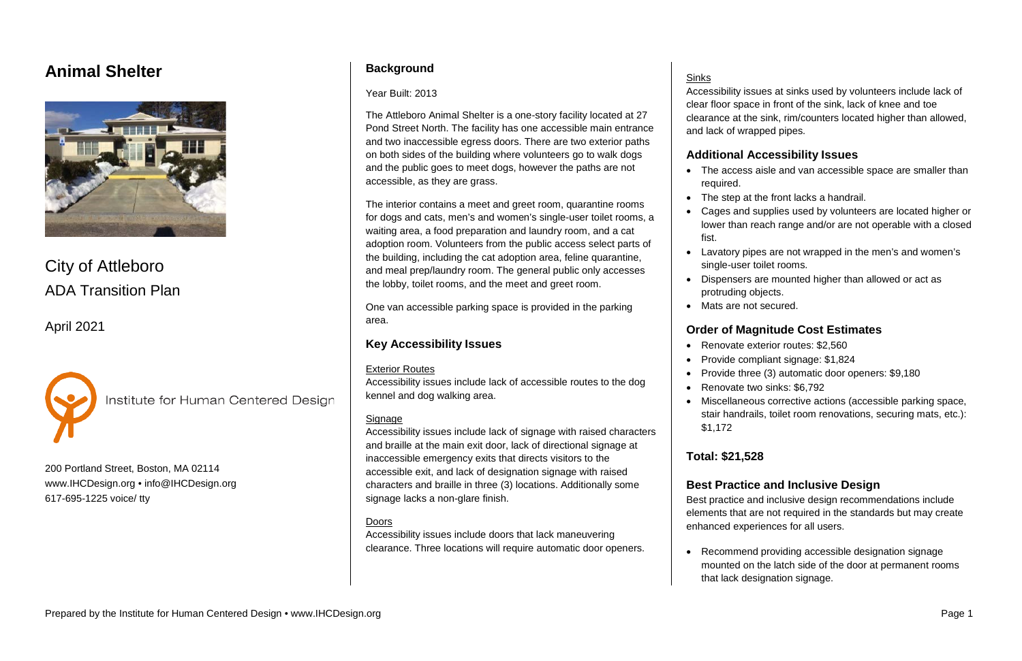# **Animal Shelter**



City of Attleboro ADA Transition Plan

April 2021



Institute for Human Centered Design

200 Portland Street, Boston, MA 02114 [www.IHCDesign.org](http://www.ihcdesign.org/) • [info@IHCDesign.org](mailto:info@IHCDesign.org) 617-695-1225 voice/ tty

## **Background**

#### Year Built: 2013

The Attleboro Animal Shelter is a one-story facility located at 27 Pond Street North. The facility has one accessible main entrance and two inaccessible egress doors. There are two exterior paths on both sides of the building where volunteers go to walk dogs and the public goes to meet dogs, however the paths are not accessible, as they are grass.

The interior contains a meet and greet room, quarantine rooms for dogs and cats, men's and women's single-user toilet rooms, a waiting area, a food preparation and laundry room, and a cat adoption room. Volunteers from the public access select parts of the building, including the cat adoption area, feline quarantine, and meal prep/laundry room. The general public only accesses the lobby, toilet rooms, and the meet and greet room.

- required.
- 
- fist.
- 
- protruding objects.
- Mats are not secured.

One van accessible parking space is provided in the parking area.

## **Key Accessibility Issues**

#### Exterior Routes

Accessibility issues include lack of accessible routes to the dog kennel and dog walking area.

### Signage

Accessibility issues include lack of signage with raised characters and braille at the main exit door, lack of directional signage at inaccessible emergency exits that directs visitors to the accessible exit, and lack of designation signage with raised characters and braille in three (3) locations. Additionally some signage lacks a non-glare finish.

## Doors

Accessibility issues include doors that lack maneuvering clearance. Three locations will require automatic door openers.

### **Sinks**

Accessibility issues at sinks used by volunteers include lack of clear floor space in front of the sink, lack of knee and toe clearance at the sink, rim/counters located higher than allowed, and lack of wrapped pipes.

## **Additional Accessibility Issues**

• The access aisle and van accessible space are smaller than

• The step at the front lacks a handrail.

• Cages and supplies used by volunteers are located higher or lower than reach range and/or are not operable with a closed

• Lavatory pipes are not wrapped in the men's and women's single-user toilet rooms.

• Dispensers are mounted higher than allowed or act as

### **Order of Magnitude Cost Estimates**

• Renovate exterior routes: \$2,560

• Provide compliant signage: \$1,824

• Provide three (3) automatic door openers: \$9,180

• Renovate two sinks: \$6,792

• Miscellaneous corrective actions (accessible parking space,

stair handrails, toilet room renovations, securing mats, etc.):

- 
- 
- 
- 
- \$1,172

**Total: \$21,528**

## **Best Practice and Inclusive Design**

Best practice and inclusive design recommendations include elements that are not required in the standards but may create enhanced experiences for all users.

• Recommend providing accessible designation signage mounted on the latch side of the door at permanent rooms that lack designation signage.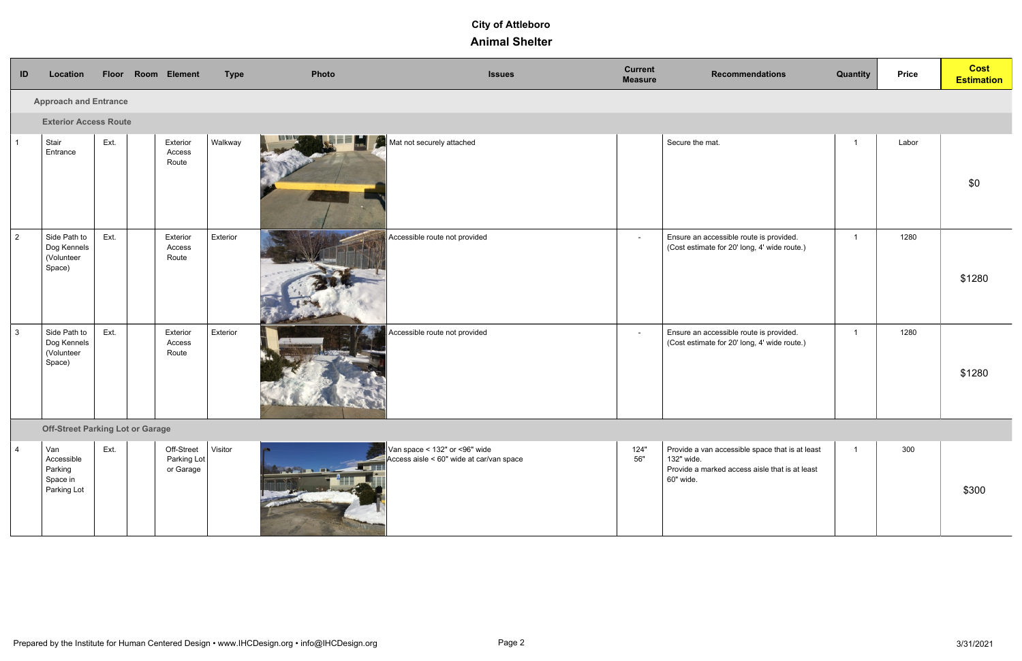| ID             | Location                                                | Floor Room Element                      |                                        | <b>Type</b> | Photo                          | <b>Issues</b>                                                                 | <b>Current</b><br><b>Measure</b> | <b>Recommendations</b>                                                                                                       | <b>Quantity</b> | <b>Price</b> | <b>Cost</b><br><b>Estimation</b> |
|----------------|---------------------------------------------------------|-----------------------------------------|----------------------------------------|-------------|--------------------------------|-------------------------------------------------------------------------------|----------------------------------|------------------------------------------------------------------------------------------------------------------------------|-----------------|--------------|----------------------------------|
|                | <b>Approach and Entrance</b>                            |                                         |                                        |             |                                |                                                                               |                                  |                                                                                                                              |                 |              |                                  |
|                | <b>Exterior Access Route</b>                            |                                         |                                        |             |                                |                                                                               |                                  |                                                                                                                              |                 |              |                                  |
| $\overline{1}$ | Stair<br>Entrance                                       | Ext.                                    | Exterior<br>Access<br>Route            | Walkway     |                                | Mat not securely attached                                                     |                                  | Secure the mat.                                                                                                              | $\mathbf{1}$    | Labor        | \$0                              |
| $\overline{2}$ | Side Path to<br>Dog Kennels<br>(Volunteer<br>Space)     | Ext.                                    | Exterior<br>Access<br>Route            | Exterior    |                                | Accessible route not provided                                                 | $\sim$                           | Ensure an accessible route is provided.<br>(Cost estimate for 20' long, 4' wide route.)                                      | $\overline{1}$  | 1280         | \$1280                           |
| $\mathbf{3}$   | Side Path to<br>Dog Kennels<br>(Volunteer<br>Space)     | Ext.                                    | Exterior<br>Access<br>Route            | Exterior    |                                | Accessible route not provided                                                 | $\sim$                           | Ensure an accessible route is provided.<br>(Cost estimate for 20' long, 4' wide route.)                                      | $\overline{1}$  | 1280         | \$1280                           |
|                |                                                         | <b>Off-Street Parking Lot or Garage</b> |                                        |             |                                |                                                                               |                                  |                                                                                                                              |                 |              |                                  |
| $\overline{4}$ | Van<br>Accessible<br>Parking<br>Space in<br>Parking Lot | Ext.                                    | Off-Street<br>Parking Lot<br>or Garage | Visitor     | <b>DESCRIPTION OF PROPERTY</b> | Van space < $132"$ or <96" wide<br>Access aisle < $60"$ wide at car/van space | 124"<br>56"                      | Provide a van accessible space that is at least<br>132" wide.<br>Provide a marked access aisle that is at least<br>60" wide. | $\mathbf{1}$    | 300          | \$300                            |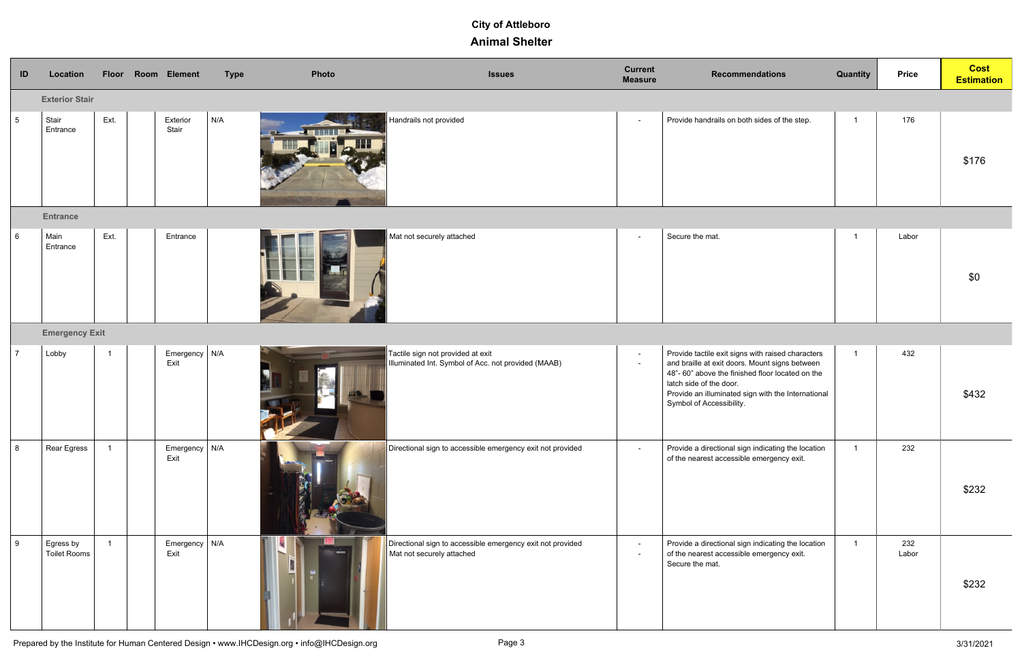| ID              | Location                         |                | Floor Room Element                | <b>Type</b> | Photo | <b>Issues</b>                                                                                  | <b>Current</b><br><b>Measure</b> | <b>Recommendations</b>                                                                                                                                                                                                                                              | Quantity       | <b>Price</b> | <b>Cost</b><br><b>Estimation</b> |
|-----------------|----------------------------------|----------------|-----------------------------------|-------------|-------|------------------------------------------------------------------------------------------------|----------------------------------|---------------------------------------------------------------------------------------------------------------------------------------------------------------------------------------------------------------------------------------------------------------------|----------------|--------------|----------------------------------|
|                 | <b>Exterior Stair</b>            |                |                                   |             |       |                                                                                                |                                  |                                                                                                                                                                                                                                                                     |                |              |                                  |
| $5\overline{)}$ | Stair<br>Entrance                | Ext.           | Exterior<br>Stair                 | N/A         |       | Handrails not provided                                                                         | $\blacksquare$                   | Provide handrails on both sides of the step.                                                                                                                                                                                                                        | $\overline{1}$ | 176          | \$176                            |
|                 | <b>Entrance</b>                  |                |                                   |             |       |                                                                                                |                                  |                                                                                                                                                                                                                                                                     |                |              |                                  |
| $\,6\,$         | Main<br>Entrance                 | Ext.           | Entrance                          |             |       | Mat not securely attached                                                                      | $\sim$                           | Secure the mat.                                                                                                                                                                                                                                                     |                | Labor        | \$0                              |
|                 | <b>Emergency Exit</b>            |                |                                   |             |       |                                                                                                |                                  |                                                                                                                                                                                                                                                                     |                |              |                                  |
| $\overline{7}$  | Lobby                            | $\overline{1}$ | Emergency   N/A<br>Exit           |             |       | Tactile sign not provided at exit<br>Illuminated Int. Symbol of Acc. not provided (MAAB)       | $\sim$<br>$\sim$                 | Provide tactile exit signs with raised characters<br>and braille at exit doors. Mount signs between<br>48"-60" above the finished floor located on the<br>latch side of the door.<br>Provide an illuminated sign with the International<br>Symbol of Accessibility. | $\overline{1}$ | 432          | \$432                            |
| 8               | Rear Egress                      | $\overline{1}$ | Emergency $\big\vert$ N/A<br>Exit |             |       | $\mid$ Directional sign to accessible emergency exit not provided                              | $\sim$                           | Provide a directional sign indicating the location<br>of the nearest accessible emergency exit.                                                                                                                                                                     | $\overline{1}$ | 232          | \$232                            |
| 9               | Egress by<br><b>Toilet Rooms</b> | $\overline{1}$ | Emergency $\big $ N/A<br>Exit     |             |       | $\mid$ Directional sign to accessible emergency exit not provided<br>Mat not securely attached | $\blacksquare$<br>$\blacksquare$ | Provide a directional sign indicating the location<br>of the nearest accessible emergency exit.<br>Secure the mat.                                                                                                                                                  | $\overline{1}$ | 232<br>Labor | \$232                            |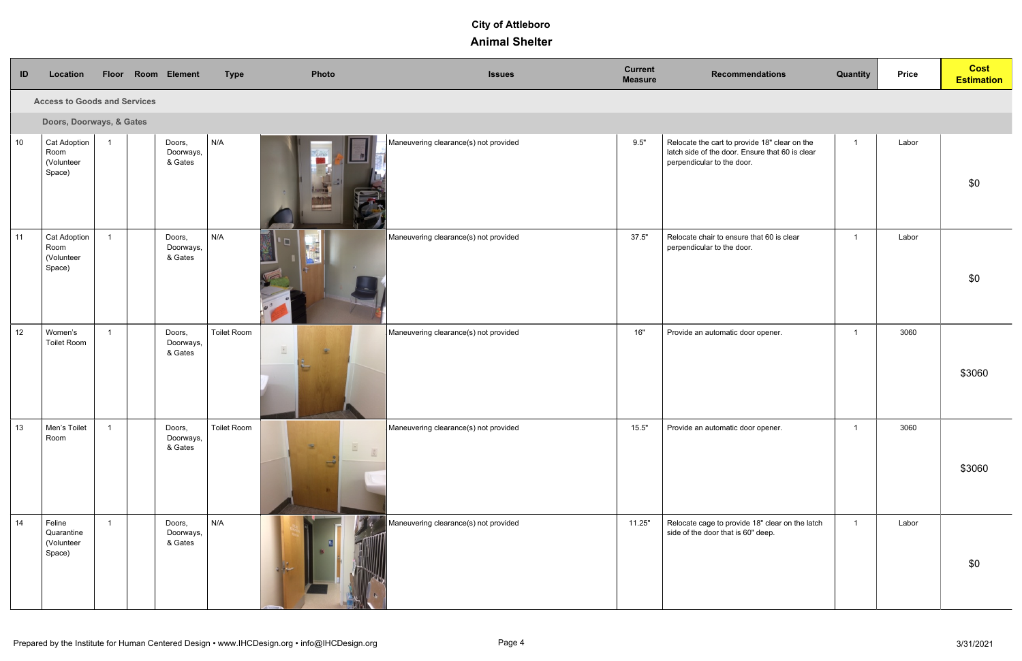| ID | Location                                            |                | Floor Room Element             | <b>Type</b>        | Photo                          | <b>Issues</b>                         | <b>Current</b><br><b>Measure</b> | <b>Recommendations</b>                                                                                                         | <b>Quantity</b> | <b>Price</b> | <b>Cost</b><br><b>Estimation</b> |
|----|-----------------------------------------------------|----------------|--------------------------------|--------------------|--------------------------------|---------------------------------------|----------------------------------|--------------------------------------------------------------------------------------------------------------------------------|-----------------|--------------|----------------------------------|
|    | <b>Access to Goods and Services</b>                 |                |                                |                    |                                |                                       |                                  |                                                                                                                                |                 |              |                                  |
|    | Doors, Doorways, & Gates                            |                |                                |                    |                                |                                       |                                  |                                                                                                                                |                 |              |                                  |
| 10 | <b>Cat Adoption</b><br>Room<br>(Volunteer<br>Space) | $\overline{1}$ | Doors,<br>Doorways,<br>& Gates | N/A                |                                | Maneuvering clearance(s) not provided | 9.5"                             | Relocate the cart to provide 18" clear on the<br>latch side of the door. Ensure that 60 is clear<br>perpendicular to the door. | $\overline{1}$  | Labor        | \$0                              |
| 11 | <b>Cat Adoption</b><br>Room<br>(Volunteer<br>Space) | $\overline{1}$ | Doors,<br>Doorways,<br>& Gates | N/A                |                                | Maneuvering clearance(s) not provided | 37.5"                            | Relocate chair to ensure that 60 is clear<br>perpendicular to the door.                                                        | $\mathbf{1}$    | Labor        | \$0                              |
| 12 | Women's<br><b>Toilet Room</b>                       | $\overline{1}$ | Doors,<br>Doorways,<br>& Gates | <b>Toilet Room</b> | $\mathbb{E}$<br><b>SC</b>      | Maneuvering clearance(s) not provided | 16"                              | Provide an automatic door opener.                                                                                              | $\overline{1}$  | 3060         | \$3060                           |
| 13 | Men's Toilet<br>Room                                | $\overline{1}$ | Doors,<br>Doorways,<br>& Gates | <b>Toilet Room</b> | $\mathbb{E}$ $\mathbb{E}$<br>≥ | Maneuvering clearance(s) not provided | 15.5"                            | Provide an automatic door opener.                                                                                              | $\mathbf{1}$    | 3060         | \$3060                           |
| 14 | Feline<br>Quarantine<br>(Volunteer<br>Space)        | $\overline{1}$ | Doors,<br>Doorways,<br>& Gates | N/A                |                                | Maneuvering clearance(s) not provided | 11.25"                           | Relocate cage to provide 18" clear on the latch<br>side of the door that is 60" deep.                                          | $\mathbf{1}$    | Labor        | \$0                              |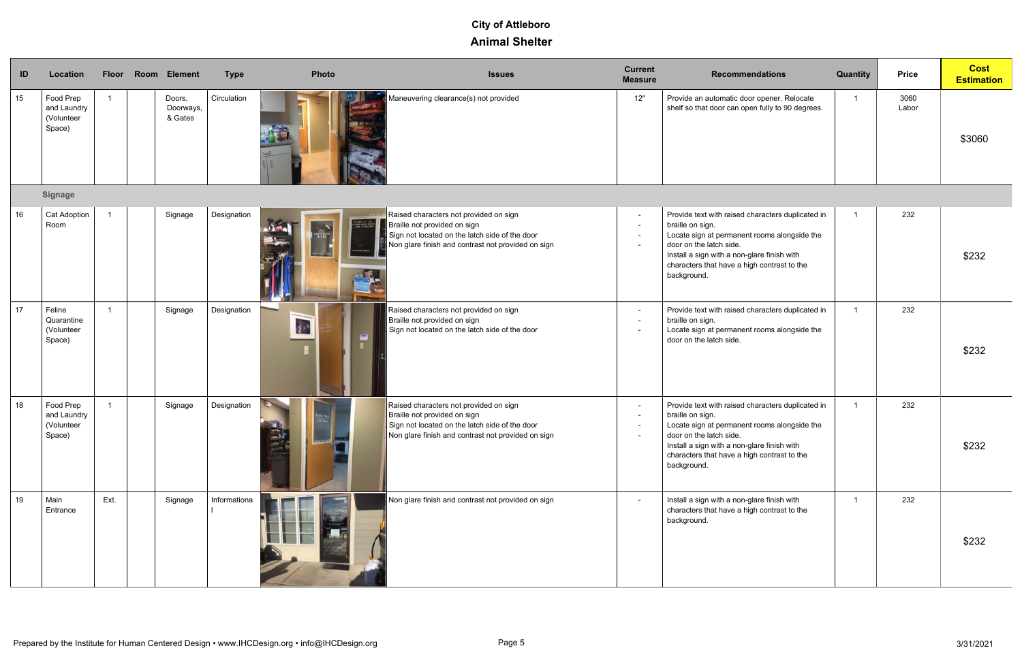| ID | Location                                         | <b>Floor</b>   | Room Element                   | <b>Type</b>  | <b>Photo</b>                            | <b>Issues</b>                                                                                                                                                                  | <b>Current</b><br><b>Measure</b> | <b>Recommendations</b>                                                                                                                                                                                                                                        | Quantity | <b>Price</b>  | <b>Cost</b><br><b>Estimation</b> |
|----|--------------------------------------------------|----------------|--------------------------------|--------------|-----------------------------------------|--------------------------------------------------------------------------------------------------------------------------------------------------------------------------------|----------------------------------|---------------------------------------------------------------------------------------------------------------------------------------------------------------------------------------------------------------------------------------------------------------|----------|---------------|----------------------------------|
| 15 | Food Prep<br>and Laundry<br>(Volunteer<br>Space) | $\mathbf{1}$   | Doors,<br>Doorways,<br>& Gates | Circulation  |                                         | Maneuvering clearance(s) not provided                                                                                                                                          | 12"                              | Provide an automatic door opener. Relocate<br>shelf so that door can open fully to 90 degrees.                                                                                                                                                                | 1        | 3060<br>Labor | \$3060                           |
|    | <b>Signage</b>                                   |                |                                |              |                                         |                                                                                                                                                                                |                                  |                                                                                                                                                                                                                                                               |          |               |                                  |
| 16 | <b>Cat Adoption</b><br>Room                      | $\overline{1}$ | Signage                        | Designation  | NELCONE TO THE<br>TRANSPORTATION SYSTEM | Raised characters not provided on sign<br>Braille not provided on sign<br>Sign not located on the latch side of the door<br>Non glare finish and contrast not provided on sign | $\sim$                           | Provide text with raised characters duplicated in<br>braille on sign.<br>Locate sign at permanent rooms alongside the<br>door on the latch side.<br>Install a sign with a non-glare finish with<br>characters that have a high contrast to the<br>background. |          | 232           | \$232                            |
| 17 | Feline<br>Quarantine<br>(Volunteer<br>Space)     | $\overline{1}$ | Signage                        | Designation  | $\mathcal{E}$                           | Raised characters not provided on sign<br>Braille not provided on sign<br>Sign not located on the latch side of the door                                                       |                                  | Provide text with raised characters duplicated in<br>braille on sign.<br>Locate sign at permanent rooms alongside the<br>door on the latch side.                                                                                                              |          | 232           | \$232                            |
| 18 | Food Prep<br>and Laundry<br>(Volunteer<br>Space) | $\overline{1}$ | Signage                        | Designation  | كالمجتد                                 | Raised characters not provided on sign<br>Braille not provided on sign<br>Sign not located on the latch side of the door<br>Non glare finish and contrast not provided on sign |                                  | Provide text with raised characters duplicated in<br>braille on sign.<br>Locate sign at permanent rooms alongside the<br>door on the latch side.<br>Install a sign with a non-glare finish with<br>characters that have a high contrast to the<br>background. |          | 232           | \$232                            |
| 19 | Main<br>Entrance                                 | Ext.           | Signage                        | Informationa |                                         | Non glare finish and contrast not provided on sign                                                                                                                             |                                  | Install a sign with a non-glare finish with<br>characters that have a high contrast to the<br>background.                                                                                                                                                     |          | 232           | \$232                            |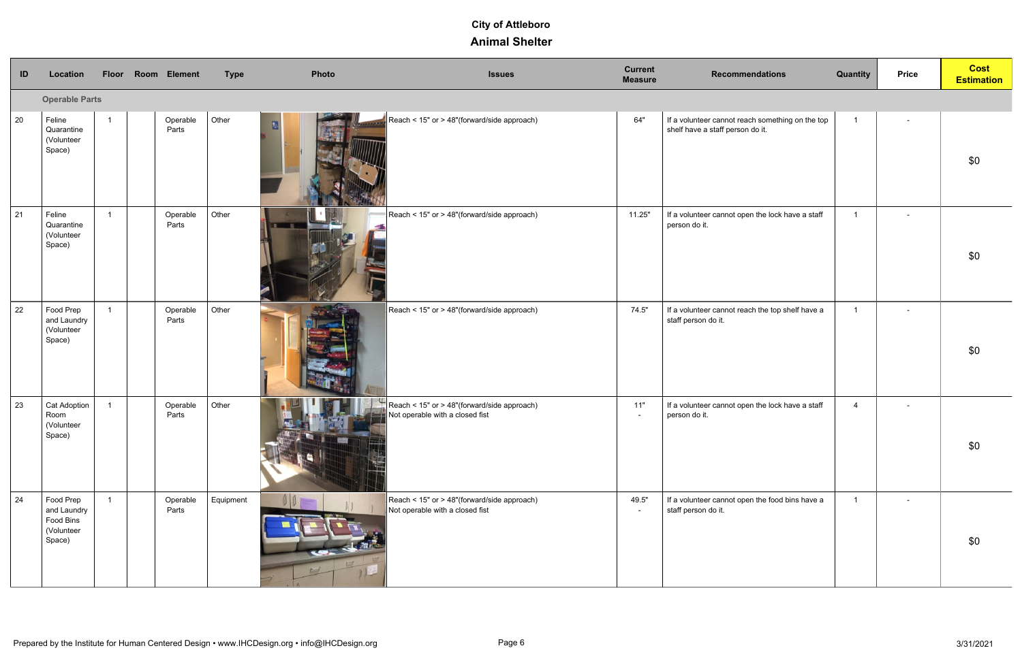| ID | Location                                                      |                | Floor Room Element | <b>Type</b> | <b>Photo</b> | <b>Issues</b>                                                                  | <b>Current</b><br><b>Measure</b> | <b>Recommendations</b>                                                               | Quantity       | <b>Price</b>   | <b>Cost</b><br><b>Estimation</b> |
|----|---------------------------------------------------------------|----------------|--------------------|-------------|--------------|--------------------------------------------------------------------------------|----------------------------------|--------------------------------------------------------------------------------------|----------------|----------------|----------------------------------|
|    | <b>Operable Parts</b>                                         |                |                    |             |              |                                                                                |                                  |                                                                                      |                |                |                                  |
| 20 | Feline<br>Quarantine<br>(Volunteer<br>Space)                  | $\overline{ }$ | Operable<br>Parts  | Other       | 热            | Reach < 15" or > 48"(forward/side approach)                                    | 64"                              | If a volunteer cannot reach something on the top<br>shelf have a staff person do it. | $\overline{1}$ | $\sim$         | \$0                              |
| 21 | Feline<br>Quarantine<br>(Volunteer<br>Space)                  |                | Operable<br>Parts  | Other       | $\sim$       | Reach < 15" or > 48"(forward/side approach)                                    | 11.25"                           | If a volunteer cannot open the lock have a staff<br>person do it.                    | $\overline{1}$ | $\sim$         | \$0                              |
| 22 | Food Prep<br>and Laundry<br>(Volunteer<br>Space)              |                | Operable<br>Parts  | Other       |              | Reach < 15" or > 48"(forward/side approach)                                    | 74.5"                            | If a volunteer cannot reach the top shelf have a<br>staff person do it.              | $\overline{1}$ | $\blacksquare$ | \$0                              |
| 23 | <b>Cat Adoption</b><br>Room<br>(Volunteer<br>Space)           |                | Operable<br>Parts  | Other       |              | Reach < 15" or > 48"(forward/side approach)<br>Not operable with a closed fist | 11"<br>$\blacksquare$            | If a volunteer cannot open the lock have a staff<br>person do it.                    | $\overline{4}$ | $\blacksquare$ | \$0                              |
| 24 | Food Prep<br>and Laundry<br>Food Bins<br>(Volunteer<br>Space) |                | Operable<br>Parts  | Equipment   |              | Reach < 15" or > 48"(forward/side approach)<br>Not operable with a closed fist | 49.5"<br>$\sim$                  | If a volunteer cannot open the food bins have a<br>staff person do it.               | $\overline{1}$ | $\sim$         | \$0                              |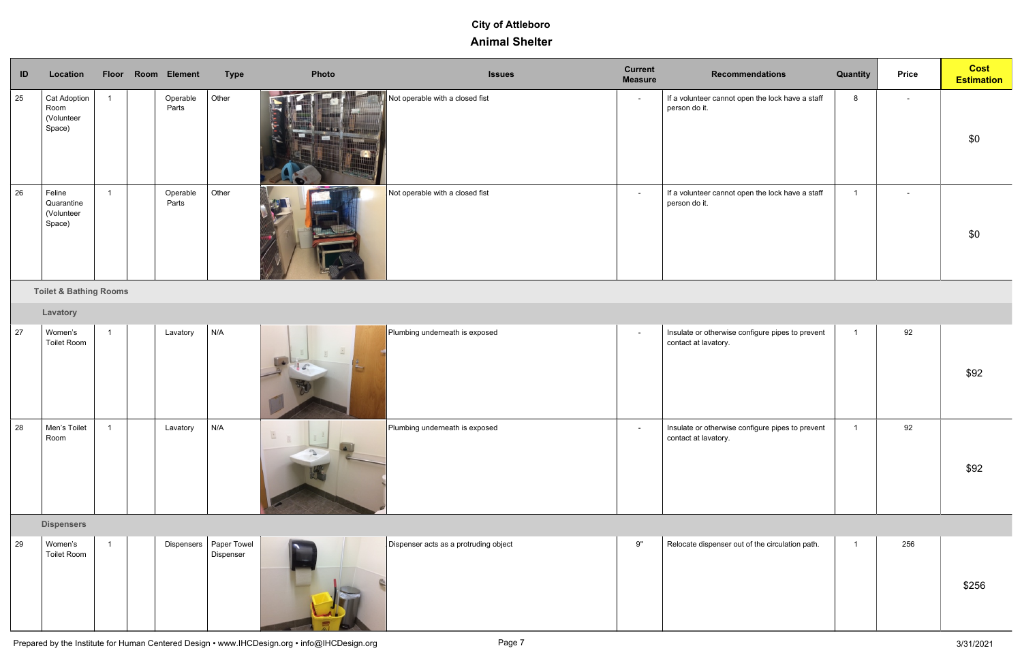| ID | Location                                            |                | Floor Room Element | <b>Type</b>              | Photo              | <b>Issues</b>                         | <b>Current</b><br><b>Measure</b> | <b>Recommendations</b>                                                   | Quantity | <b>Price</b>   | <b>Cost</b><br><b>Estimation</b> |
|----|-----------------------------------------------------|----------------|--------------------|--------------------------|--------------------|---------------------------------------|----------------------------------|--------------------------------------------------------------------------|----------|----------------|----------------------------------|
| 25 | <b>Cat Adoption</b><br>Room<br>(Volunteer<br>Space) | $\overline{1}$ | Operable<br>Parts  | Other                    |                    | Not operable with a closed fist       | $\sim$                           | If a volunteer cannot open the lock have a staff<br>person do it.        | 8        | $\sim$         | \$0                              |
| 26 | Feline<br>Quarantine<br>(Volunteer<br>Space)        | $\mathbf{1}$   | Operable<br>Parts  | Other                    |                    | Not operable with a closed fist       | $\sim$                           | If a volunteer cannot open the lock have a staff<br>person do it.        |          | $\blacksquare$ | \$0                              |
|    | <b>Toilet &amp; Bathing Rooms</b>                   |                |                    |                          |                    |                                       |                                  |                                                                          |          |                |                                  |
|    | Lavatory                                            |                |                    |                          |                    |                                       |                                  |                                                                          |          |                |                                  |
| 27 | Women's<br><b>Toilet Room</b>                       | $\overline{1}$ | Lavatory           | N/A                      |                    | Plumbing underneath is exposed        | $\sim$                           | Insulate or otherwise configure pipes to prevent<br>contact at lavatory. |          | 92             | \$92                             |
| 28 | Men's Toilet<br>Room                                |                | Lavatory           | N/A                      | ш<br>$\mathcal{L}$ | Plumbing underneath is exposed        | $\sim$                           | Insulate or otherwise configure pipes to prevent<br>contact at lavatory. |          | 92             | \$92                             |
|    | <b>Dispensers</b>                                   |                |                    |                          |                    |                                       |                                  |                                                                          |          |                |                                  |
| 29 | Women's<br><b>Toilet Room</b>                       | -1             | Dispensers         | Paper Towel<br>Dispenser |                    | Dispenser acts as a protruding object | 9"                               | Relocate dispenser out of the circulation path.                          |          | 256            | \$256                            |